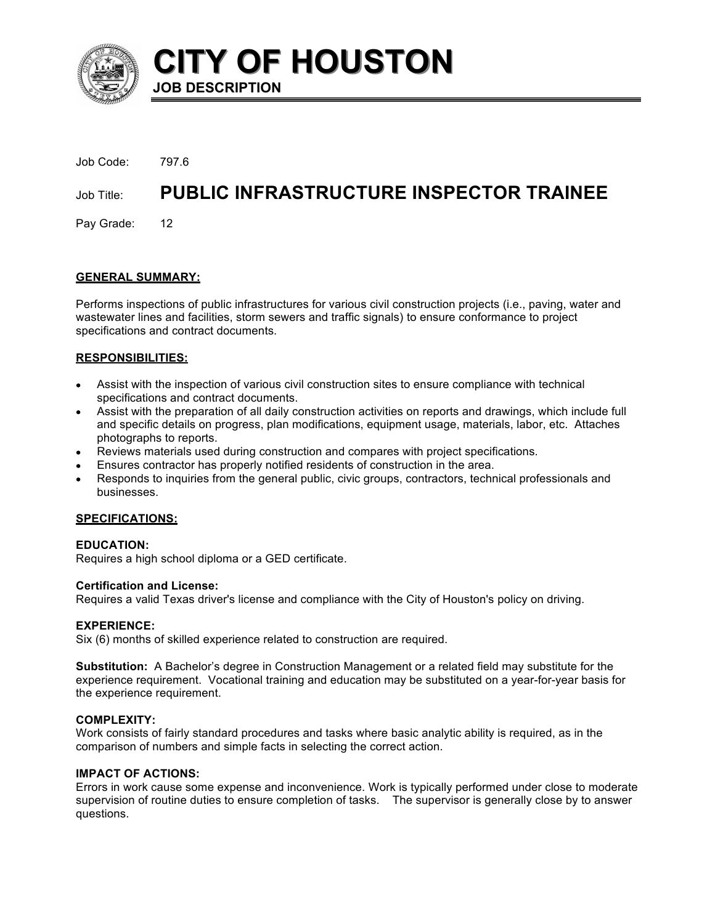

**CITY OF HOUSTON CITY OF HOUSTON JOB DESCRIPTION**

Job Code: 797.6 Job Title: **PUBLIC INFRASTRUCTURE INSPECTOR TRAINEE**  Pay Grade: 12

# **GENERAL SUMMARY:**

Performs inspections of public infrastructures for various civil construction projects (i.e., paving, water and wastewater lines and facilities, storm sewers and traffic signals) to ensure conformance to project specifications and contract documents.

## **RESPONSIBILITIES:**

- Assist with the inspection of various civil construction sites to ensure compliance with technical specifications and contract documents.
- Assist with the preparation of all daily construction activities on reports and drawings, which include full and specific details on progress, plan modifications, equipment usage, materials, labor, etc. Attaches photographs to reports.
- Reviews materials used during construction and compares with project specifications.
- Ensures contractor has properly notified residents of construction in the area.
- Responds to inquiries from the general public, civic groups, contractors, technical professionals and businesses.

## **SPECIFICATIONS:**

## **EDUCATION:**

Requires a high school diploma or a GED certificate.

## **Certification and License:**

Requires a valid Texas driver's license and compliance with the City of Houston's policy on driving.

## **EXPERIENCE:**

Six (6) months of skilled experience related to construction are required.

**Substitution:** A Bachelor's degree in Construction Management or a related field may substitute for the experience requirement. Vocational training and education may be substituted on a year-for-year basis for the experience requirement.

# **COMPLEXITY:**

Work consists of fairly standard procedures and tasks where basic analytic ability is required, as in the comparison of numbers and simple facts in selecting the correct action.

#### **IMPACT OF ACTIONS:**

Errors in work cause some expense and inconvenience. Work is typically performed under close to moderate supervision of routine duties to ensure completion of tasks. The supervisor is generally close by to answer questions.